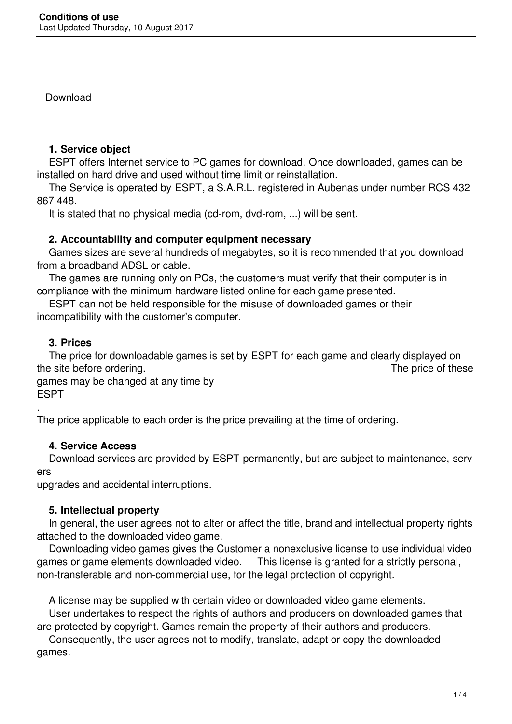Download

## **1. Service object**

 ESPT offers Internet service to PC games for download. Once downloaded, games can be installed on hard drive and used without time limit or reinstallation.

 The Service is operated by ESPT, a S.A.R.L. registered in Aubenas under number RCS 432 867 448.

It is stated that no physical media (cd-rom, dvd-rom, ...) will be sent.

## **2. Accountability and computer equipment necessary**

 Games sizes are several hundreds of megabytes, so it is recommended that you download from a broadband ADSL or cable.

 The games are running only on PCs, the customers must verify that their computer is in compliance with the minimum hardware listed online for each game presented.

 ESPT can not be held responsible for the misuse of downloaded games or their incompatibility with the customer's computer.

# **3. Prices**

 The price for downloadable games is set by ESPT for each game and clearly displayed on the site before ordering. The price of these

games may be changed at any time by ESPT

. The price applicable to each order is the price prevailing at the time of ordering.

# **4. Service Access**

 Download services are provided by ESPT permanently, but are subject to maintenance, serv ers

upgrades and accidental interruptions.

# **5. Intellectual property**

 In general, the user agrees not to alter or affect the title, brand and intellectual property rights attached to the downloaded video game.

 Downloading video games gives the Customer a nonexclusive license to use individual video games or game elements downloaded video. This license is granted for a strictly personal, non-transferable and non-commercial use, for the legal protection of copyright.

A license may be supplied with certain video or downloaded video game elements.

 User undertakes to respect the rights of authors and producers on downloaded games that are protected by copyright. Games remain the property of their authors and producers.

 Consequently, the user agrees not to modify, translate, adapt or copy the downloaded games.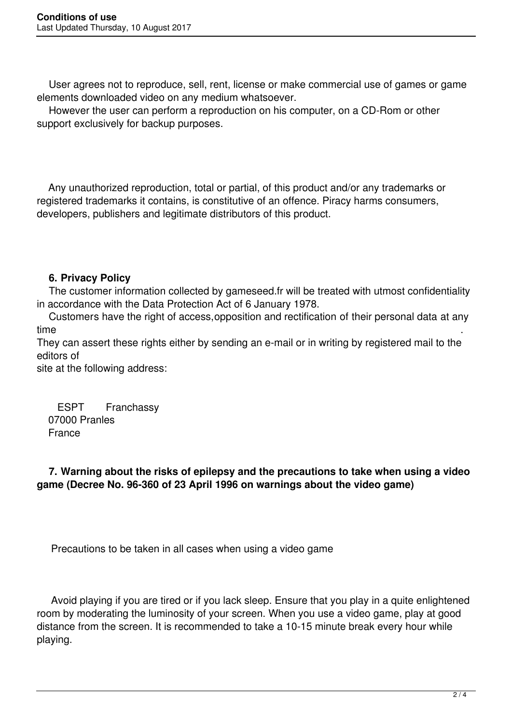User agrees not to reproduce, sell, rent, license or make commercial use of games or game elements downloaded video on any medium whatsoever.

 However the user can perform a reproduction on his computer, on a CD-Rom or other support exclusively for backup purposes.

 Any unauthorized reproduction, total or partial, of this product and/or any trademarks or registered trademarks it contains, is constitutive of an offence. Piracy harms consumers, developers, publishers and legitimate distributors of this product.

## **6. Privacy Policy**

 The customer information collected by gameseed.fr will be treated with utmost confidentiality in accordance with the Data Protection Act of 6 January 1978.

 Customers have the right of access,opposition and rectification of their personal data at any time .

They can assert these rights either by sending an e-mail or in writing by registered mail to the editors of

site at the following address:

ESPT Franchassy 07000 Pranles France

 **7. Warning about the risks of epilepsy and the precautions to take when using a video game (Decree No. 96-360 of 23 April 1996 on warnings about the video game)**

Precautions to be taken in all cases when using a video game

 Avoid playing if you are tired or if you lack sleep. Ensure that you play in a quite enlightened room by moderating the luminosity of your screen. When you use a video game, play at good distance from the screen. It is recommended to take a 10-15 minute break every hour while playing.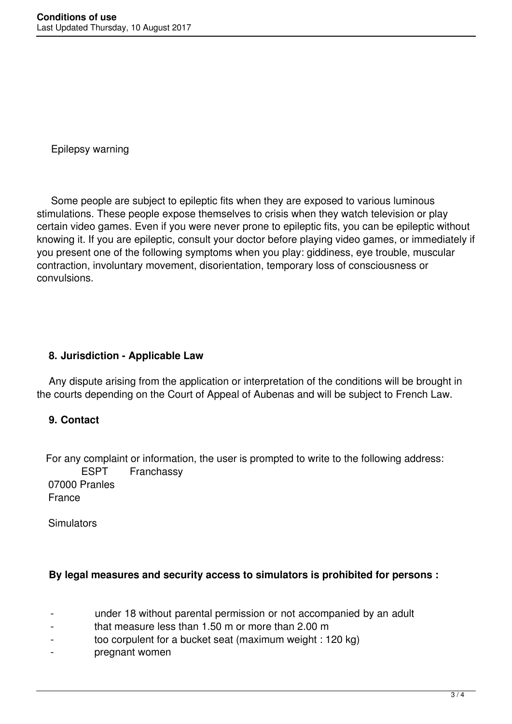Epilepsy warning

 Some people are subject to epileptic fits when they are exposed to various luminous stimulations. These people expose themselves to crisis when they watch television or play certain video games. Even if you were never prone to epileptic fits, you can be epileptic without knowing it. If you are epileptic, consult your doctor before playing video games, or immediately if you present one of the following symptoms when you play: giddiness, eye trouble, muscular contraction, involuntary movement, disorientation, temporary loss of consciousness or convulsions.

#### **8. Jurisdiction - Applicable Law**

 Any dispute arising from the application or interpretation of the conditions will be brought in the courts depending on the Court of Appeal of Aubenas and will be subject to French Law.

#### **9. Contact**

 For any complaint or information, the user is prompted to write to the following address: ESPT Franchassy 07000 Pranles France

Simulators

#### **By legal measures and security access to simulators is prohibited for persons :**

- under 18 without parental permission or not accompanied by an adult
- that measure less than  $1.50$  m or more than  $2.00$  m
- too corpulent for a bucket seat (maximum weight : 120 kg)
- pregnant women